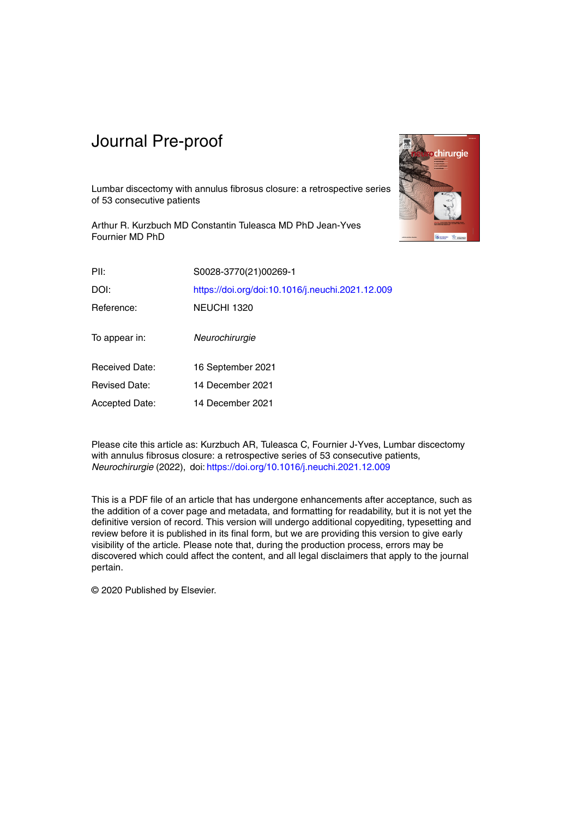

Lumbar discectomy with annulus fibrosus closure: a retrospective series of 53 consecutive patients

Arthur R. Kurzbuch MD Constantin Tuleasca MD PhD Jean-Yves Fournier MD PhD

| PII:                  | S0028-3770(21)00269-1                            |
|-----------------------|--------------------------------------------------|
| DOI:                  | https://doi.org/doi:10.1016/j.neuchi.2021.12.009 |
| Reference:            | NEUCHI 1320                                      |
| To appear in:         | Neurochirurgie                                   |
| <b>Received Date:</b> | 16 September 2021                                |
| <b>Revised Date:</b>  | 14 December 2021                                 |
| <b>Accepted Date:</b> | 14 December 2021                                 |

Please cite this article as: Kurzbuch AR, Tuleasca C, Fournier J-Yves, Lumbar discectomy with annulus fibrosus closure: a retrospective series of 53 consecutive patients, *Neurochirurgie* (2022), doi: https://doi.org/10.1016/j.neuchi.2021.12.009

This is a PDF file of an article that has undergone enhancements after acceptance, such as the addition of a cover page and metadata, and formatting for readability, but it is not yet the definitive version of record. This version will undergo additional copyediting, typesetting and review before it is published in its final form, but we are providing this version to give early visibility of the article. Please note that, during the production process, errors may be discovered which could affect the content, and all legal disclaimers that apply to the journal pertain.

© 2020 Published by Elsevier.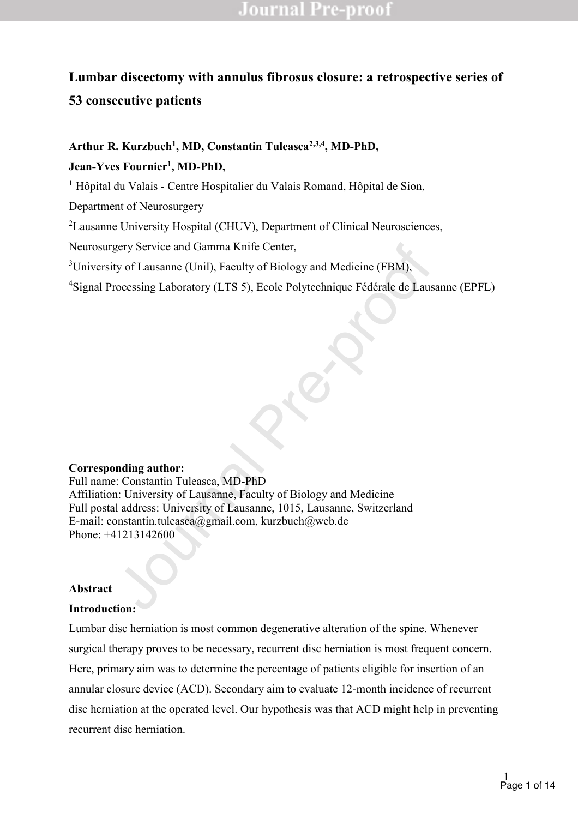# **Lumbar discectomy with annulus fibrosus closure: a retrospective series of 53 consecutive patients**

## Arthur R. Kurzbuch<sup>1</sup>, MD, Constantin Tuleasca<sup>2,3,4</sup>, MD-PhD,

**Jean-Yves Fournier1, MD-PhD,**

<sup>1</sup> Hôpital du Valais - Centre Hospitalier du Valais Romand, Hôpital de Sion,

Department of Neurosurgery

<sup>2</sup> Lausanne University Hospital (CHUV), Department of Clinical Neurosciences,

Neurosurgery Service and Gamma Knife Center,

<sup>3</sup>University of Lausanne (Unil), Faculty of Biology and Medicine (FBM),

4 Signal Processing Laboratory (LTS 5), Ecole Polytechnique Fédérale de Lausanne (EPFL)

#### **Corresponding author:**

gery Service and Gamma Knife Center,<br>ty of Lausanne (Unil), Faculty of Biology and Medicine (FBM),<br>rocessing Laboratory (LTS 5), Ecole Polytechnique Fédérale de Laus<br>nation<br>contains a laboratory (LTS 5). Ecole Polytechniqu Full name: Constantin Tuleasca, MD-PhD Affiliation: University of Lausanne, Faculty of Biology and Medicine Full postal address: University of Lausanne, 1015, Lausanne, Switzerland E-mail: constantin.tuleasca@gmail.com, kurzbuch@web.de Phone: +41213142600

#### **Abstract**

#### **Introduction:**

Lumbar disc herniation is most common degenerative alteration of the spine. Whenever surgical therapy proves to be necessary, recurrent disc herniation is most frequent concern. Here, primary aim was to determine the percentage of patients eligible for insertion of an annular closure device (ACD). Secondary aim to evaluate 12-month incidence of recurrent disc herniation at the operated level. Our hypothesis was that ACD might help in preventing recurrent disc herniation.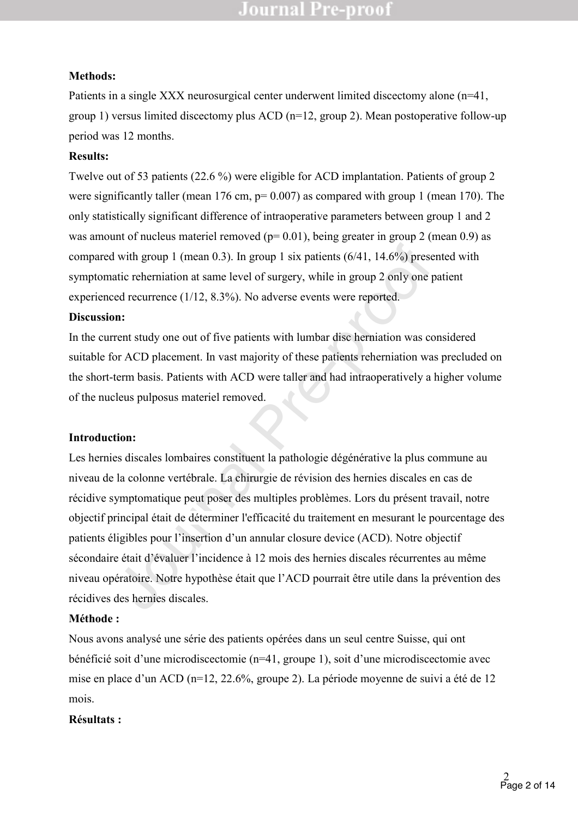## **Methods:**

Patients in a single XXX neurosurgical center underwent limited discectomy alone (n=41, group 1) versus limited discectomy plus ACD (n=12, group 2). Mean postoperative follow-up period was 12 months.

## **Results:**

Twelve out of 53 patients (22.6 %) were eligible for ACD implantation. Patients of group 2 were significantly taller (mean  $176 \text{ cm}$ ,  $p= 0.007$ ) as compared with group 1 (mean 170). The only statistically significant difference of intraoperative parameters between group 1 and 2 was amount of nucleus materiel removed ( $p= 0.01$ ), being greater in group 2 (mean 0.9) as compared with group 1 (mean 0.3). In group 1 six patients (6/41, 14.6%) presented with symptomatic reherniation at same level of surgery, while in group 2 only one patient experienced recurrence (1/12, 8.3%). No adverse events were reported.

## **Discussion:**

In the current study one out of five patients with lumbar disc herniation was considered suitable for ACD placement. In vast majority of these patients reherniation was precluded on the short-term basis. Patients with ACD were taller and had intraoperatively a higher volume of the nucleus pulposus materiel removed.

## **Introduction:**

I with group 1 (mean 0.3). In group 1 six patients (6/41, 14.6%) presentic rehermiation at same level of surgery, while in group 2 only one ped recurrence (1/12, 8.3%). No adverse events were reported.<br>
In:<br>
Trent study o Les hernies discales lombaires constituent la pathologie dégénérative la plus commune au niveau de la colonne vertébrale. La chirurgie de révision des hernies discales en cas de récidive symptomatique peut poser des multiples problèmes. Lors du présent travail, notre objectif principal était de déterminer l'efficacité du traitement en mesurant le pourcentage des patients éligibles pour l'insertion d'un annular closure device (ACD). Notre objectif sécondaire était d'évaluer l'incidence à 12 mois des hernies discales récurrentes au même niveau opératoire. Notre hypothèse était que l'ACD pourrait être utile dans la prévention des récidives des hernies discales.

# **Méthode :**

Nous avons analysé une série des patients opérées dans un seul centre Suisse, qui ont bénéficié soit d'une microdiscectomie ( $n=41$ , groupe 1), soit d'une microdiscectomie avec mise en place d'un ACD ( $n=12$ , 22.6%, groupe 2). La période moyenne de suivi a été de 12 mois.

## **Résultats :**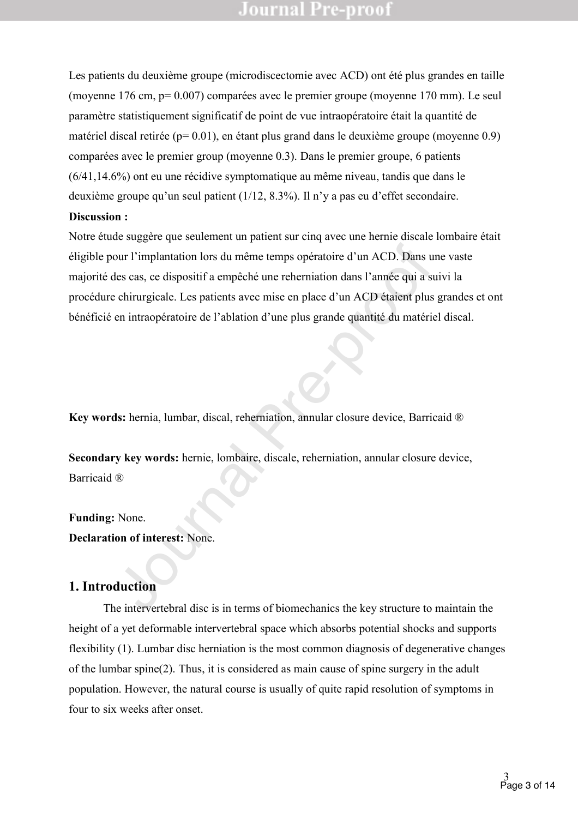Les patients du deuxième groupe (microdiscectomie avec ACD) ont été plus grandes en taille (moyenne 176 cm, p= 0.007) comparées avec le premier groupe (moyenne 170 mm). Le seul paramètre statistiquement significatif de point de vue intraopératoire était la quantité de matériel discal retirée (p= 0.01), en étant plus grand dans le deuxième groupe (moyenne 0.9) comparées avec le premier group (moyenne 0.3). Dans le premier groupe, 6 patients (6/41,14.6%) ont eu une récidive symptomatique au même niveau, tandis que dans le deuxième groupe qu'un seul patient  $(1/12, 8.3\%)$ . Il n'y a pas eu d'effet secondaire. **Discussion :**

# our l'implantation lors du même temps opératoire d'un ACD. Dans u<br>sues cas, ce dispositif a empêché une reherniation dans l'année qui a s<br>chirurgicale. Les patients avec mise en place d'un ACD étaient plus<br>en intraopératoi Notre étude suggère que seulement un patient sur cinq avec une hernie discale lombaire était éligible pour l'implantation lors du même temps opératoire d'un ACD. Dans une vaste majorité des cas, ce dispositif a empêché une reherniation dans l'année qui a suivi la procédure chirurgicale. Les patients avec mise en place d'un ACD étaient plus grandes et ont bénéficié en intraopératoire de l'ablation d'une plus grande quantité du matériel discal.

**Key words:** hernia, lumbar, discal, reherniation, annular closure device, Barricaid ®

**Secondary key words:** hernie, lombaire, discale, reherniation, annular closure device, Barricaid ®

#### **Funding:** None.

**Declaration of interest:** None.

#### **1. Introduction**

The intervertebral disc is in terms of biomechanics the key structure to maintain the height of a yet deformable intervertebral space which absorbs potential shocks and supports flexibility (1). Lumbar disc herniation is the most common diagnosis of degenerative changes of the lumbar spine(2). Thus, it is considered as main cause of spine surgery in the adult population. However, the natural course is usually of quite rapid resolution of symptoms in four to six weeks after onset.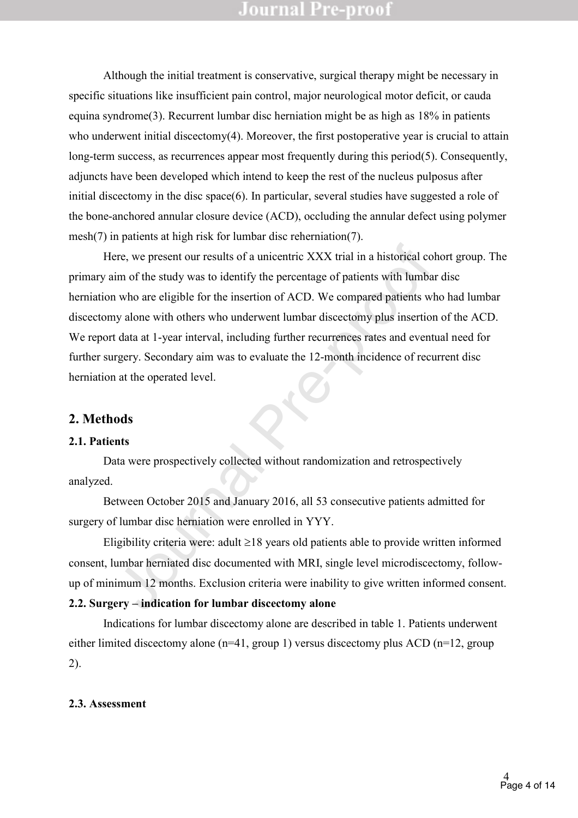Although the initial treatment is conservative, surgical therapy might be necessary in specific situations like insufficient pain control, major neurological motor deficit, or cauda equina syndrome(3). Recurrent lumbar disc herniation might be as high as 18% in patients who underwent initial discectomy(4). Moreover, the first postoperative year is crucial to attain long-term success, as recurrences appear most frequently during this period(5). Consequently, adjuncts have been developed which intend to keep the rest of the nucleus pulposus after initial discectomy in the disc space(6). In particular, several studies have suggested a role of the bone-anchored annular closure device (ACD), occluding the annular defect using polymer mesh(7) in patients at high risk for lumbar disc reherniation(7).

Example 12 months of a unicentric XXX trial in a historical component of the study was to identify the percentage of patients with lumbar who are eligible for the insertion of ACD. We compared patients w y alone with othe Here, we present our results of a unicentric XXX trial in a historical cohort group. The primary aim of the study was to identify the percentage of patients with lumbar disc herniation who are eligible for the insertion of ACD. We compared patients who had lumbar discectomy alone with others who underwent lumbar discectomy plus insertion of the ACD. We report data at 1-year interval, including further recurrences rates and eventual need for further surgery. Secondary aim was to evaluate the 12-month incidence of recurrent disc herniation at the operated level.

#### **2. Methods**

#### **2.1. Patients**

Data were prospectively collected without randomization and retrospectively analyzed.

Between October 2015 and January 2016, all 53 consecutive patients admitted for surgery of lumbar disc herniation were enrolled in YYY.

Eligibility criteria were: adult  $\geq 18$  years old patients able to provide written informed consent, lumbar herniated disc documented with MRI, single level microdiscectomy, followup of minimum 12 months. Exclusion criteria were inability to give written informed consent.

#### **2.2. Surgery – indication for lumbar discectomy alone**

Indications for lumbar discectomy alone are described in table 1. Patients underwent either limited discectomy alone (n=41, group 1) versus discectomy plus ACD (n=12, group 2).

#### **2.3. Assessment**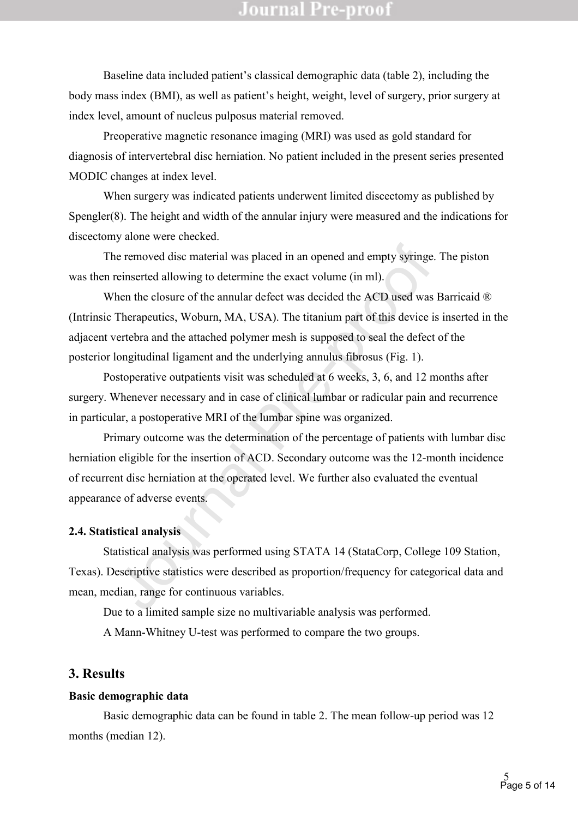Baseline data included patient's classical demographic data (table 2), including the body mass index (BMI), as well as patient's height, weight, level of surgery, prior surgery at index level, amount of nucleus pulposus material removed.

Preoperative magnetic resonance imaging (MRI) was used as gold standard for diagnosis of intervertebral disc herniation. No patient included in the present series presented MODIC changes at index level.

When surgery was indicated patients underwent limited discectomy as published by Spengler(8). The height and width of the annular injury were measured and the indications for discectomy alone were checked.

The removed disc material was placed in an opened and empty syringe. The piston was then reinserted allowing to determine the exact volume (in ml).

is expected in an opened and empty syringe<br>reinserted allowing to determine the exact volume (in ml).<br>Then the closure of the annular defect was decided the ACD used was<br>Therapeutics, Woburn, MA, USA). The titanium part of When the closure of the annular defect was decided the ACD used was Barricaid ® (Intrinsic Therapeutics, Woburn, MA, USA). The titanium part of this device is inserted in the adjacent vertebra and the attached polymer mesh is supposed to seal the defect of the posterior longitudinal ligament and the underlying annulus fibrosus (Fig. 1).

Postoperative outpatients visit was scheduled at 6 weeks, 3, 6, and 12 months after surgery. Whenever necessary and in case of clinical lumbar or radicular pain and recurrence in particular, a postoperative MRI of the lumbar spine was organized.

Primary outcome was the determination of the percentage of patients with lumbar disc herniation eligible for the insertion of ACD. Secondary outcome was the 12-month incidence of recurrent disc herniation at the operated level. We further also evaluated the eventual appearance of adverse events.

#### **2.4. Statistical analysis**

Statistical analysis was performed using STATA 14 (StataCorp, College 109 Station, Texas). Descriptive statistics were described as proportion/frequency for categorical data and mean, median, range for continuous variables.

Due to a limited sample size no multivariable analysis was performed.

A Mann-Whitney U-test was performed to compare the two groups.

#### **3. Results**

#### **Basic demographic data**

Basic demographic data can be found in table 2. The mean follow-up period was 12 months (median 12).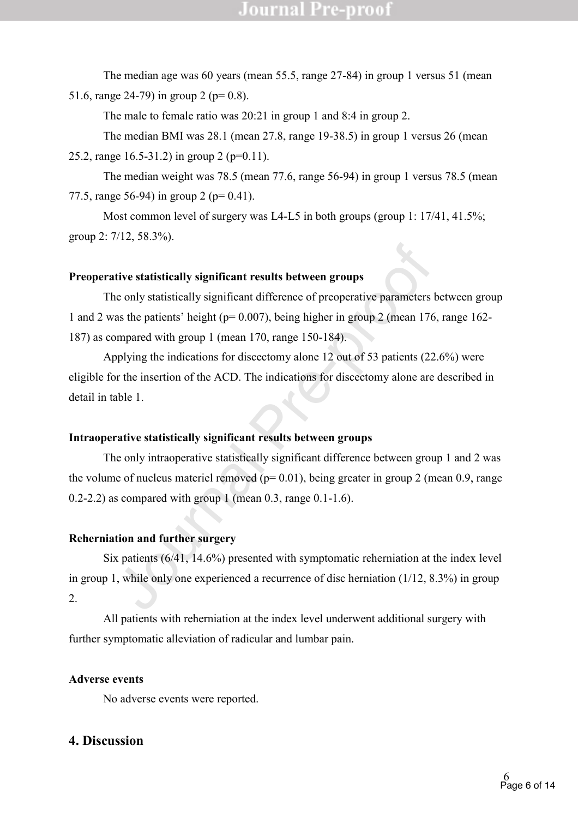The median age was 60 years (mean 55.5, range 27-84) in group 1 versus 51 (mean 51.6, range 24-79) in group 2 ( $p=0.8$ ).

The male to female ratio was 20:21 in group 1 and 8:4 in group 2.

The median BMI was 28.1 (mean 27.8, range 19-38.5) in group 1 versus 26 (mean 25.2, range 16.5-31.2) in group 2 (p=0.11).

The median weight was 78.5 (mean 77.6, range 56-94) in group 1 versus 78.5 (mean 77.5, range 56-94) in group 2 (p= 0.41).

Most common level of surgery was L4-L5 in both groups (group 1: 17/41, 41.5%; group 2: 7/12, 58.3%).

#### **Preoperative statistically significant results between groups**

tive statistically significant results between groups<br>he only statistically significant difference of preoperative parameters<br>as the patients' height (p= 0.007), being higher in group 2 (mean 176<br>mpared with group 1 (mean The only statistically significant difference of preoperative parameters between group 1 and 2 was the patients' height ( $p= 0.007$ ), being higher in group 2 (mean 176, range 162-187) as compared with group 1 (mean 170, range 150-184).

Applying the indications for discectomy alone 12 out of 53 patients (22.6%) were eligible for the insertion of the ACD. The indications for discectomy alone are described in detail in table 1.

#### **Intraoperative statistically significant results between groups**

The only intraoperative statistically significant difference between group 1 and 2 was the volume of nucleus materiel removed ( $p= 0.01$ ), being greater in group 2 (mean 0.9, range  $0.2$ -2.2) as compared with group 1 (mean 0.3, range  $0.1$ -1.6).

#### **Reherniation and further surgery**

Six patients (6/41, 14.6%) presented with symptomatic reherniation at the index level in group 1, while only one experienced a recurrence of disc herniation (1/12, 8.3%) in group 2.

All patients with reherniation at the index level underwent additional surgery with further symptomatic alleviation of radicular and lumbar pain.

#### **Adverse events**

No adverse events were reported.

## **4. Discussion**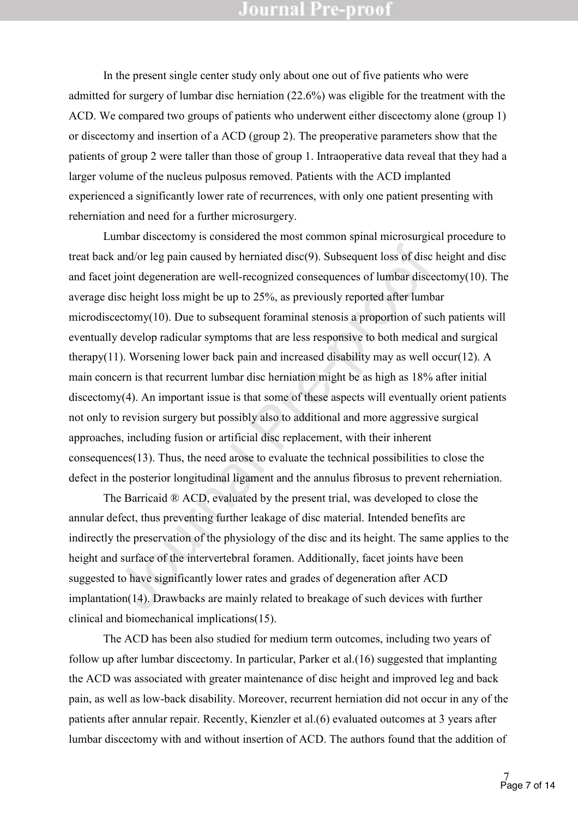In the present single center study only about one out of five patients who were admitted for surgery of lumbar disc herniation (22.6%) was eligible for the treatment with the ACD. We compared two groups of patients who underwent either discectomy alone (group 1) or discectomy and insertion of a ACD (group 2). The preoperative parameters show that the patients of group 2 were taller than those of group 1. Intraoperative data reveal that they had a larger volume of the nucleus pulposus removed. Patients with the ACD implanted experienced a significantly lower rate of recurrences, with only one patient presenting with reherniation and need for a further microsurgery.

and/or leg pain caused by hermiated disc(9). Subsequent loss of disc<br>joint degeneration are well-recognized consequences of lumbar disc<br>isc height loss might be up to 25%, as previously reported after lumb<br>rectomy(10). Du Lumbar discectomy is considered the most common spinal microsurgical procedure to treat back and/or leg pain caused by herniated disc(9). Subsequent loss of disc height and disc and facet joint degeneration are well-recognized consequences of lumbar discectomy(10). The average disc height loss might be up to 25%, as previously reported after lumbar microdiscectomy(10). Due to subsequent foraminal stenosis a proportion of such patients will eventually develop radicular symptoms that are less responsive to both medical and surgical therapy(11). Worsening lower back pain and increased disability may as well occur(12). A main concern is that recurrent lumbar disc herniation might be as high as 18% after initial discectomy(4). An important issue is that some of these aspects will eventually orient patients not only to revision surgery but possibly also to additional and more aggressive surgical approaches, including fusion or artificial disc replacement, with their inherent consequences(13). Thus, the need arose to evaluate the technical possibilities to close the defect in the posterior longitudinal ligament and the annulus fibrosus to prevent reherniation.

The Barricaid ® ACD, evaluated by the present trial, was developed to close the annular defect, thus preventing further leakage of disc material. Intended benefits are indirectly the preservation of the physiology of the disc and its height. The same applies to the height and surface of the intervertebral foramen. Additionally, facet joints have been suggested to have significantly lower rates and grades of degeneration after ACD implantation(14). Drawbacks are mainly related to breakage of such devices with further clinical and biomechanical implications(15).

The ACD has been also studied for medium term outcomes, including two years of follow up after lumbar discectomy. In particular, Parker et al.(16) suggested that implanting the ACD was associated with greater maintenance of disc height and improved leg and back pain, as well as low-back disability. Moreover, recurrent herniation did not occur in any of the patients after annular repair. Recently, Kienzler et al.(6) evaluated outcomes at 3 years after lumbar discectomy with and without insertion of ACD. The authors found that the addition of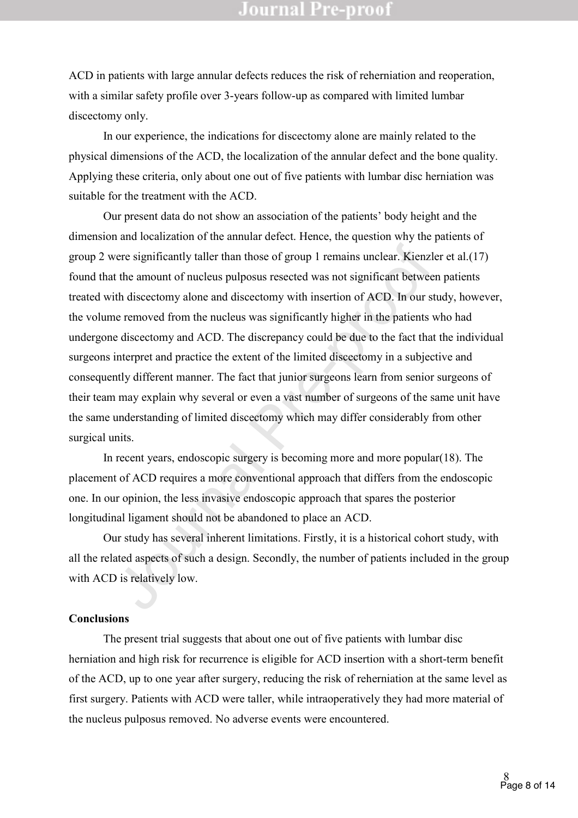ACD in patients with large annular defects reduces the risk of reherniation and reoperation, with a similar safety profile over 3-years follow-up as compared with limited lumbar discectomy only.

In our experience, the indications for discectomy alone are mainly related to the physical dimensions of the ACD, the localization of the annular defect and the bone quality. Applying these criteria, only about one out of five patients with lumbar disc herniation was suitable for the treatment with the ACD.

vere significantly taller than those of group 1 remains unclear. Kienzl<br>t the amount of nucleus pulposus resected was not significant between<br>th discectomy alone and discectomy with insertion of ACD. In our s<br>re removed fr Our present data do not show an association of the patients' body height and the dimension and localization of the annular defect. Hence, the question why the patients of group 2 were significantly taller than those of group 1 remains unclear. Kienzler et al.(17) found that the amount of nucleus pulposus resected was not significant between patients treated with discectomy alone and discectomy with insertion of ACD. In our study, however, the volume removed from the nucleus was significantly higher in the patients who had undergone discectomy and ACD. The discrepancy could be due to the fact that the individual surgeons interpret and practice the extent of the limited discectomy in a subjective and consequently different manner. The fact that junior surgeons learn from senior surgeons of their team may explain why several or even a vast number of surgeons of the same unit have the same understanding of limited discectomy which may differ considerably from other surgical units.

In recent years, endoscopic surgery is becoming more and more popular(18). The placement of ACD requires a more conventional approach that differs from the endoscopic one. In our opinion, the less invasive endoscopic approach that spares the posterior longitudinal ligament should not be abandoned to place an ACD.

Our study has several inherent limitations. Firstly, it is a historical cohort study, with all the related aspects of such a design. Secondly, the number of patients included in the group with ACD is relatively low.

#### **Conclusions**

The present trial suggests that about one out of five patients with lumbar disc herniation and high risk for recurrence is eligible for ACD insertion with a short-term benefit of the ACD, up to one year after surgery, reducing the risk of reherniation at the same level as first surgery. Patients with ACD were taller, while intraoperatively they had more material of the nucleus pulposus removed. No adverse events were encountered.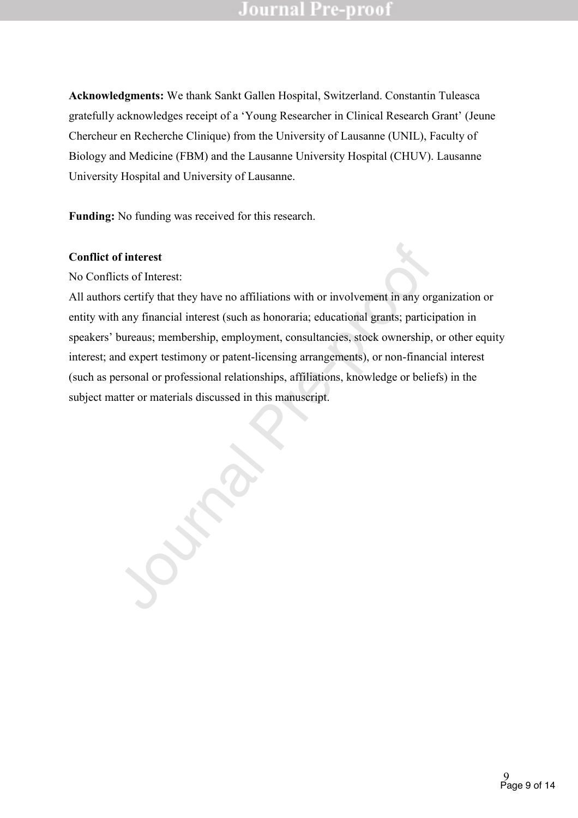**Acknowledgments:** We thank Sankt Gallen Hospital, Switzerland. Constantin Tuleasca gratefully acknowledges receipt of a 'Young Researcher in Clinical Research Grant' (Jeune Chercheur en Recherche Clinique) from the University of Lausanne (UNIL), Faculty of Biology and Medicine (FBM) and the Lausanne University Hospital (CHUV). Lausanne University Hospital and University of Lausanne.

**Funding:** No funding was received for this research.

#### **Conflict of interest**

No Conflicts of Interest:

of interest<br>icis of Interest:<br>icis of Interest:<br>rs certify that they have no affiliations with or involvement in any or<br>h any financial interest (such as honoraria; educational grants; partic<br>bureaus; membership, employmen All authors certify that they have no affiliations with or involvement in any organization or entity with any financial interest (such as honoraria; educational grants; participation in speakers' bureaus; membership, employment, consultancies, stock ownership, or other equity interest; and expert testimony or patent-licensing arrangements), or non-financial interest (such as personal or professional relationships, affiliations, knowledge or beliefs) in the subject matter or materials discussed in this manuscript.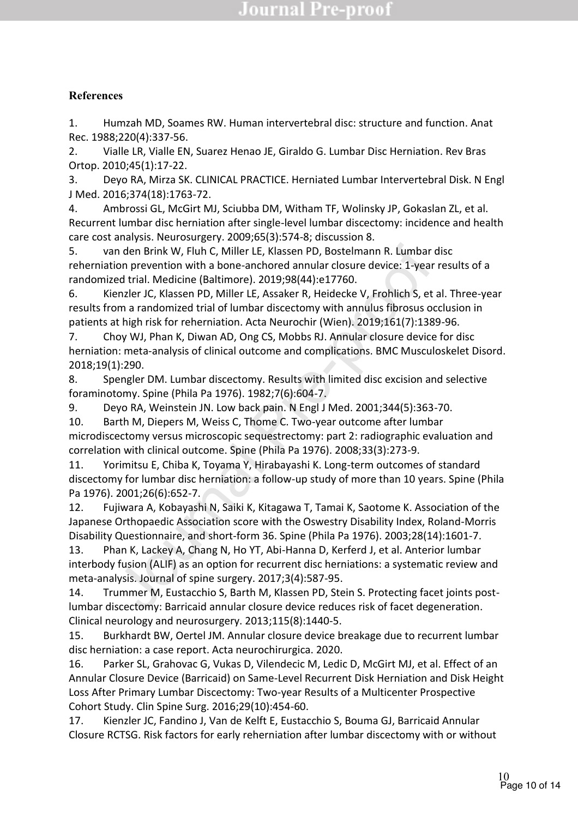## **References**

1. Humzah MD, Soames RW. Human intervertebral disc: structure and function. Anat Rec. 1988;220(4):337-56.

2. Vialle LR, Vialle EN, Suarez Henao JE, Giraldo G. Lumbar Disc Herniation. Rev Bras Ortop. 2010;45(1):17-22.

3. Deyo RA, Mirza SK. CLINICAL PRACTICE. Herniated Lumbar Intervertebral Disk. N Engl J Med. 2016;374(18):1763-72.

4. Ambrossi GL, McGirt MJ, Sciubba DM, Witham TF, Wolinsky JP, Gokaslan ZL, et al. Recurrent lumbar disc herniation after single-level lumbar discectomy: incidence and health care cost analysis. Neurosurgery. 2009;65(3):574-8; discussion 8.

5. van den Brink W, Fluh C, Miller LE, Klassen PD, Bostelmann R. Lumbar disc reherniation prevention with a bone-anchored annular closure device: 1-year results of a randomized trial. Medicine (Baltimore). 2019;98(44):e17760.

6. Kienzler JC, Klassen PD, Miller LE, Assaker R, Heidecke V, Frohlich S, et al. Three-year results from a randomized trial of lumbar discectomy with annulus fibrosus occlusion in patients at high risk for reherniation. Acta Neurochir (Wien). 2019;161(7):1389-96.

7. Choy WJ, Phan K, Diwan AD, Ong CS, Mobbs RJ. Annular closure device for disc herniation: meta-analysis of clinical outcome and complications. BMC Musculoskelet Disord. 2018;19(1):290.

8. Spengler DM. Lumbar discectomy. Results with limited disc excision and selective foraminotomy. Spine (Phila Pa 1976). 1982;7(6):604-7.

9. Deyo RA, Weinstein JN. Low back pain. N Engl J Med. 2001;344(5):363-70.

10. Barth M, Diepers M, Weiss C, Thome C. Two-year outcome after lumbar microdiscectomy versus microscopic sequestrectomy: part 2: radiographic evaluation and correlation with clinical outcome. Spine (Phila Pa 1976). 2008;33(3):273-9.

11. Yorimitsu E, Chiba K, Toyama Y, Hirabayashi K. Long-term outcomes of standard discectomy for lumbar disc herniation: a follow-up study of more than 10 years. Spine (Phila Pa 1976). 2001;26(6):652-7.

n den Brink W, Flun C, Miller LE, Klassen PD, Bostelmann R. Lumbar<br>ion prevention with a bone-anchored annular closure device: 1-year<br>ed trial. Medicine (Baltimore). 2019;98(44):e17760.<br>energier I. C, Klassen PD, Miller LE 12. Fujiwara A, Kobayashi N, Saiki K, Kitagawa T, Tamai K, Saotome K. Association of the Japanese Orthopaedic Association score with the Oswestry Disability Index, Roland-Morris Disability Questionnaire, and short-form 36. Spine (Phila Pa 1976). 2003;28(14):1601-7.

13. Phan K, Lackey A, Chang N, Ho YT, Abi-Hanna D, Kerferd J, et al. Anterior lumbar interbody fusion (ALIF) as an option for recurrent disc herniations: a systematic review and meta-analysis. Journal of spine surgery. 2017;3(4):587-95.

14. Trummer M, Eustacchio S, Barth M, Klassen PD, Stein S. Protecting facet joints postlumbar discectomy: Barricaid annular closure device reduces risk of facet degeneration. Clinical neurology and neurosurgery. 2013;115(8):1440-5.

15. Burkhardt BW, Oertel JM. Annular closure device breakage due to recurrent lumbar disc herniation: a case report. Acta neurochirurgica. 2020.

16. Parker SL, Grahovac G, Vukas D, Vilendecic M, Ledic D, McGirt MJ, et al. Effect of an Annular Closure Device (Barricaid) on Same-Level Recurrent Disk Herniation and Disk Height Loss After Primary Lumbar Discectomy: Two-year Results of a Multicenter Prospective Cohort Study. Clin Spine Surg. 2016;29(10):454-60.

17. Kienzler JC, Fandino J, Van de Kelft E, Eustacchio S, Bouma GJ, Barricaid Annular Closure RCTSG. Risk factors for early reherniation after lumbar discectomy with or without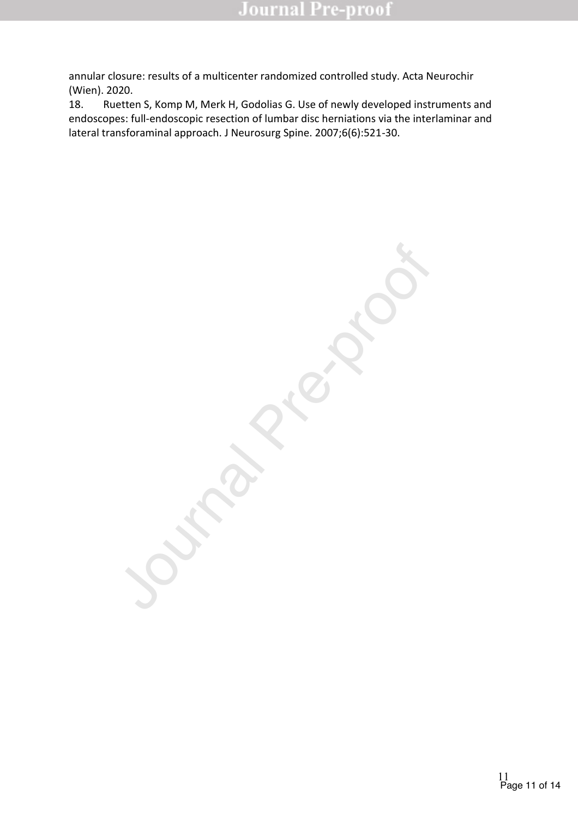annular closure: results of a multicenter randomized controlled study. Acta Neurochir (Wien). 2020.

18. Ruetten S, Komp M, Merk H, Godolias G. Use of newly developed instruments and endoscopes: full-endoscopic resection of lumbar disc herniations via the interlaminar and lateral transforaminal approach. J Neurosurg Spine. 2007;6(6):521-30.

Journal Pre-proof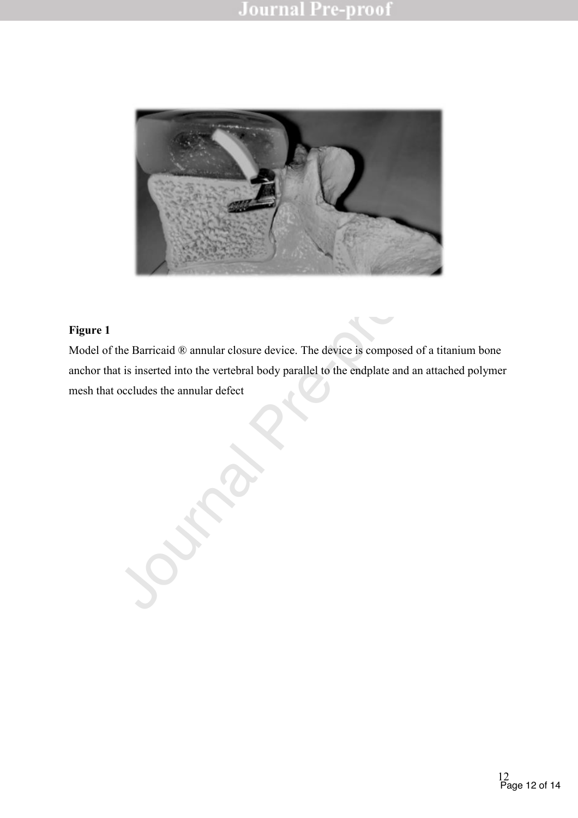

## **Figure 1**

the Barricaid ® annular closure device. The device is composed of a<br>at is inserted into the vertebral body parallel to the endplate and an at<br>occludes the annular defect<br>the state of the state of the endplate and an at Model of the Barricaid ® annular closure device. The device is composed of a titanium bone anchor that is inserted into the vertebral body parallel to the endplate and an attached polymer mesh that occludes the annular defect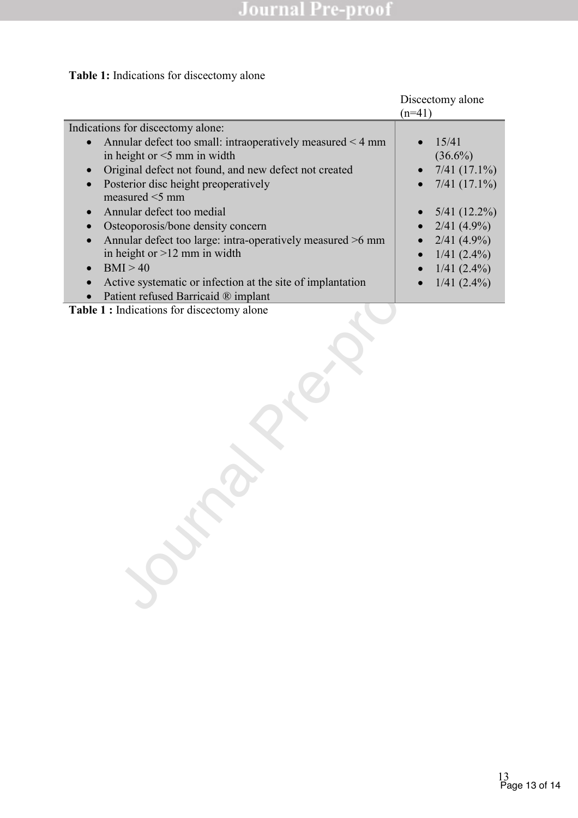# **Table 1:** Indications for discectomy alone

|                                                                                                                                                                                                                                                                                                                                                                                                                                                                                                                                                            | Discectomy alone<br>$(n=41)$                                                                                                                                                |  |
|------------------------------------------------------------------------------------------------------------------------------------------------------------------------------------------------------------------------------------------------------------------------------------------------------------------------------------------------------------------------------------------------------------------------------------------------------------------------------------------------------------------------------------------------------------|-----------------------------------------------------------------------------------------------------------------------------------------------------------------------------|--|
| Indications for discectomy alone:<br>Annular defect too small: intraoperatively measured < 4 mm<br>in height or $<$ 5 mm in width<br>Original defect not found, and new defect not created<br>Posterior disc height preoperatively<br>measured $\leq$ 5 mm<br>Annular defect too medial<br>$\bullet$<br>Osteoporosis/bone density concern<br>Annular defect too large: intra-operatively measured >6 mm<br>in height or $>12$ mm in width<br>BMI > 40<br>Active systematic or infection at the site of implantation<br>Patient refused Barricaid ® implant | 15/41<br>$\bullet$<br>$(36.6\%)$<br>$7/41$ (17.1%)<br>$7/41$ (17.1%)<br>$5/41$ (12.2%)<br>$2/41$ (4.9%)<br>$2/41$ (4.9%)<br>$1/41(2.4\%)$<br>$1/41(2.4\%)$<br>$1/41(2.4\%)$ |  |
| Table 1 : Indications for discectomy alone                                                                                                                                                                                                                                                                                                                                                                                                                                                                                                                 |                                                                                                                                                                             |  |